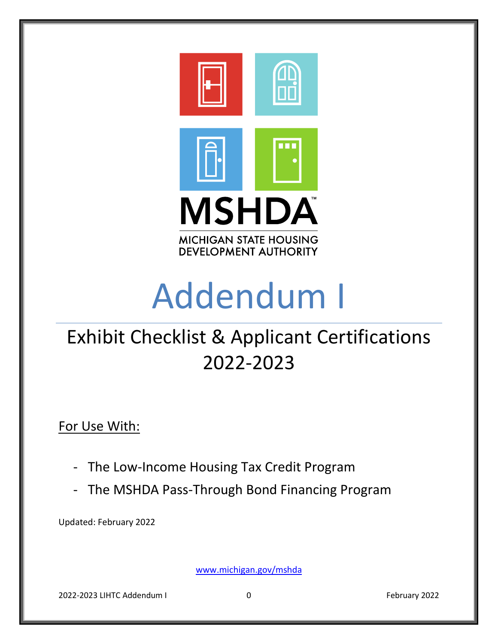

# Addendum I

# Exhibit Checklist & Applicant Certifications 2022-2023

For Use With:

- The Low-Income Housing Tax Credit Program
- The MSHDA Pass-Through Bond Financing Program

Updated: February 2022

[www.michigan.gov/mshda](http://www.michigan.gov/mshda)

2022-2023 LIHTC Addendum I 0 February 2022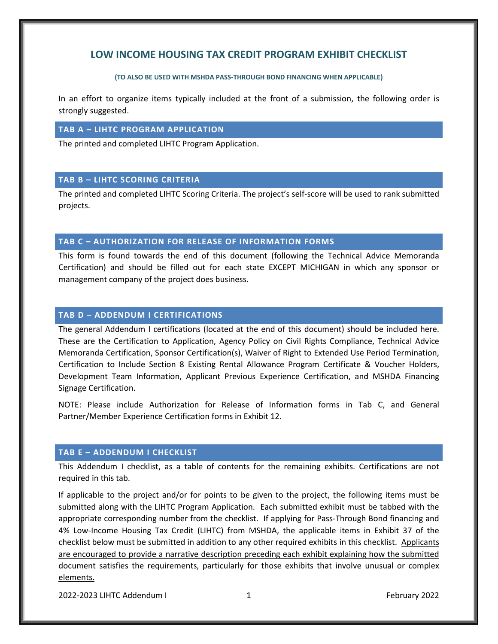# **LOW INCOME HOUSING TAX CREDIT PROGRAM EXHIBIT CHECKLIST**

#### **(TO ALSO BE USED WITH MSHDA PASS-THROUGH BOND FINANCING WHEN APPLICABLE)**

In an effort to organize items typically included at the front of a submission, the following order is strongly suggested.

# **TAB A – LIHTC PROGRAM APPLICATION**

The printed and completed LIHTC Program Application.

# **TAB B – LIHTC SCORING CRITERIA**

The printed and completed LIHTC Scoring Criteria. The project's self-score will be used to rank submitted projects.

# **TAB C – AUTHORIZATION FOR RELEASE OF INFORMATION FORMS**

This form is found towards the end of this document (following the Technical Advice Memoranda Certification) and should be filled out for each state EXCEPT MICHIGAN in which any sponsor or management company of the project does business.

# **TAB D – ADDENDUM I CERTIFICATIONS**

The general Addendum I certifications (located at the end of this document) should be included here. These are the Certification to Application, Agency Policy on Civil Rights Compliance, Technical Advice Memoranda Certification, Sponsor Certification(s), Waiver of Right to Extended Use Period Termination, Certification to Include Section 8 Existing Rental Allowance Program Certificate & Voucher Holders, Development Team Information, Applicant Previous Experience Certification, and MSHDA Financing Signage Certification.

NOTE: Please include Authorization for Release of Information forms in Tab C, and General Partner/Member Experience Certification forms in Exhibit 12.

# **TAB E – ADDENDUM I CHECKLIST**

This Addendum I checklist, as a table of contents for the remaining exhibits. Certifications are not required in this tab.

If applicable to the project and/or for points to be given to the project, the following items must be submitted along with the LIHTC Program Application. Each submitted exhibit must be tabbed with the appropriate corresponding number from the checklist.If applying for Pass-Through Bond financing and 4% Low-Income Housing Tax Credit (LIHTC) from MSHDA, the applicable items in Exhibit 37 of the checklist below must be submitted in addition to any other required exhibits in this checklist. Applicants are encouraged to provide a narrative description preceding each exhibit explaining how the submitted document satisfies the requirements, particularly for those exhibits that involve unusual or complex elements.

2022-2023 LIHTC Addendum I 1 February 2022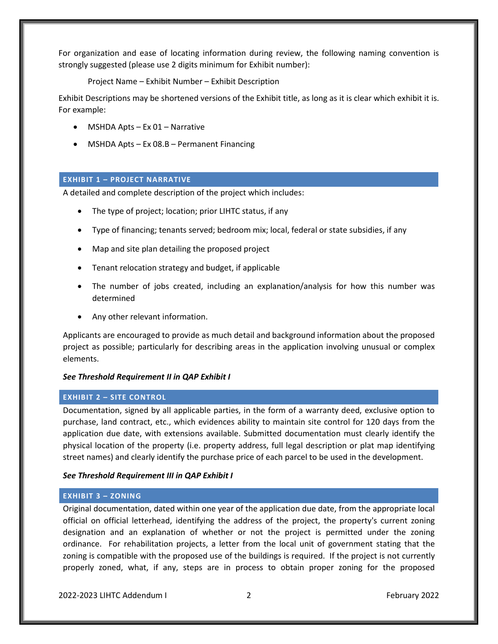For organization and ease of locating information during review, the following naming convention is strongly suggested (please use 2 digits minimum for Exhibit number):

Project Name – Exhibit Number – Exhibit Description

Exhibit Descriptions may be shortened versions of the Exhibit title, as long as it is clear which exhibit it is. For example:

- MSHDA Apts Ex 01 Narrative
- MSHDA Apts Ex 08.B Permanent Financing

# **EXHIBIT 1 – PROJECT NARRATIVE**

A detailed and complete description of the project which includes:

- The type of project; location; prior LIHTC status, if any
- Type of financing; tenants served; bedroom mix; local, federal or state subsidies, if any
- Map and site plan detailing the proposed project
- Tenant relocation strategy and budget, if applicable
- The number of jobs created, including an explanation/analysis for how this number was determined
- Any other relevant information.

Applicants are encouraged to provide as much detail and background information about the proposed project as possible; particularly for describing areas in the application involving unusual or complex elements.

# *See Threshold Requirement II in QAP Exhibit I*

# **EXHIBIT 2 – SITE CONTROL**

Documentation, signed by all applicable parties, in the form of a warranty deed, exclusive option to purchase, land contract, etc., which evidences ability to maintain site control for 120 days from the application due date, with extensions available. Submitted documentation must clearly identify the physical location of the property (i.e. property address, full legal description or plat map identifying street names) and clearly identify the purchase price of each parcel to be used in the development.

# *See Threshold Requirement III in QAP Exhibit I*

# **EXHIBIT 3 – ZONING**

Original documentation, dated within one year of the application due date, from the appropriate local official on official letterhead, identifying the address of the project, the property's current zoning designation and an explanation of whether or not the project is permitted under the zoning ordinance. For rehabilitation projects, a letter from the local unit of government stating that the zoning is compatible with the proposed use of the buildings is required. If the project is not currently properly zoned, what, if any, steps are in process to obtain proper zoning for the proposed

2022-2023 LIHTC Addendum I 2 February 2022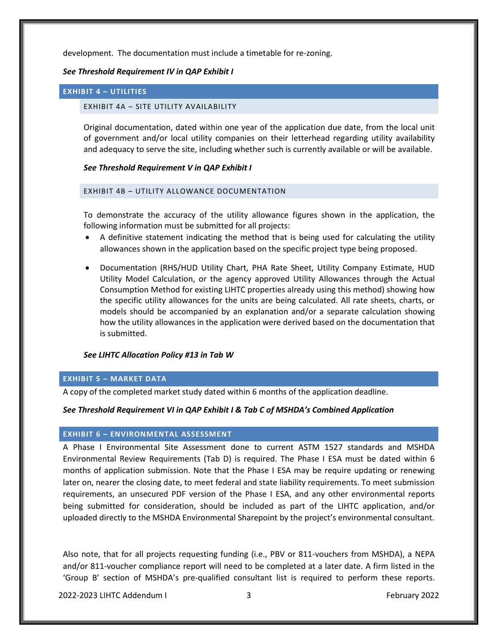development. The documentation must include a timetable for re-zoning.

#### *See Threshold Requirement IV in QAP Exhibit I*

#### **EXHIBIT 4 – UTILITIES**

#### EXHIBIT 4A – SITE UTILITY AVAILABILITY

Original documentation, dated within one year of the application due date, from the local unit of government and/or local utility companies on their letterhead regarding utility availability and adequacy to serve the site, including whether such is currently available or will be available.

#### *See Threshold Requirement V in QAP Exhibit I*

#### EXHIBIT 4B – UTILITY ALLOWANCE DOCUMENTATION

To demonstrate the accuracy of the utility allowance figures shown in the application, the following information must be submitted for all projects:

- A definitive statement indicating the method that is being used for calculating the utility allowances shown in the application based on the specific project type being proposed.
- Documentation (RHS/HUD Utility Chart, PHA Rate Sheet, Utility Company Estimate, HUD Utility Model Calculation, or the agency approved Utility Allowances through the Actual Consumption Method for existing LIHTC properties already using this method) showing how the specific utility allowances for the units are being calculated. All rate sheets, charts, or models should be accompanied by an explanation and/or a separate calculation showing how the utility allowances in the application were derived based on the documentation that is submitted.

#### *See LIHTC Allocation Policy #13 in Tab W*

#### **EXHIBIT 5 – MARKET DATA**

A copy of the completed market study dated within 6 months of the application deadline.

#### *See Threshold Requirement VI in QAP Exhibit I & Tab C of MSHDA's Combined Application*

#### **EXHIBIT 6 – ENVIRONMENTAL ASSESSMENT**

A Phase I Environmental Site Assessment done to current ASTM 1527 standards and MSHDA Environmental Review Requirements (Tab D) is required. The Phase I ESA must be dated within 6 months of application submission. Note that the Phase I ESA may be require updating or renewing later on, nearer the closing date, to meet federal and state liability requirements. To meet submission requirements, an unsecured PDF version of the Phase I ESA, and any other environmental reports being submitted for consideration, should be included as part of the LIHTC application, and/or uploaded directly to the MSHDA Environmental Sharepoint by the project's environmental consultant.

Also note, that for all projects requesting funding (i.e., PBV or 811-vouchers from MSHDA), a NEPA and/or 811-voucher compliance report will need to be completed at a later date. A firm listed in the 'Group B' section of MSHDA's pre-qualified consultant list is required to perform these reports.

2022-2023 LIHTC Addendum I 3 February 2022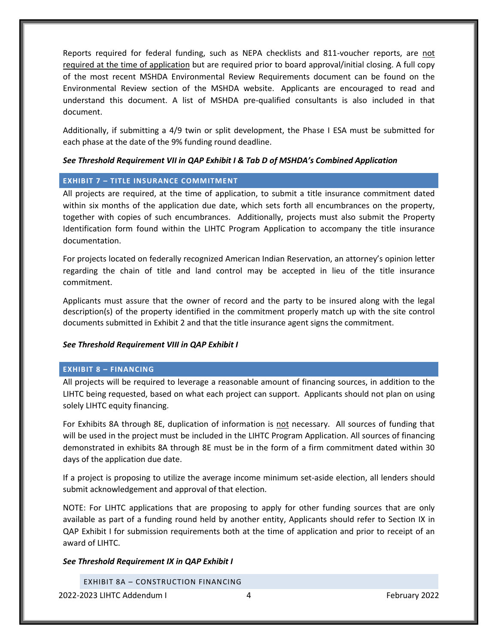Reports required for federal funding, such as NEPA checklists and 811-voucher reports, are not required at the time of application but are required prior to board approval/initial closing. A full copy of the most recent MSHDA Environmental Review Requirements document can be found on the Environmental Review section of the MSHDA website. Applicants are encouraged to read and understand this document. A list of MSHDA pre-qualified consultants is also included in that document.

Additionally, if submitting a 4/9 twin or split development, the Phase I ESA must be submitted for each phase at the date of the 9% funding round deadline.

#### *See Threshold Requirement VII in QAP Exhibit I & Tab D of MSHDA's Combined Application*

# **EXHIBIT 7 – TITLE INSURANCE COMMITMENT**

All projects are required, at the time of application, to submit a title insurance commitment dated within six months of the application due date, which sets forth all encumbrances on the property, together with copies of such encumbrances. Additionally, projects must also submit the Property Identification form found within the LIHTC Program Application to accompany the title insurance documentation.

For projects located on federally recognized American Indian Reservation, an attorney's opinion letter regarding the chain of title and land control may be accepted in lieu of the title insurance commitment.

Applicants must assure that the owner of record and the party to be insured along with the legal description(s) of the property identified in the commitment properly match up with the site control documents submitted in Exhibit 2 and that the title insurance agent signs the commitment.

#### *See Threshold Requirement VIII in QAP Exhibit I*

# **EXHIBIT 8 – FINANCING**

All projects will be required to leverage a reasonable amount of financing sources, in addition to the LIHTC being requested, based on what each project can support. Applicants should not plan on using solely LIHTC equity financing.

For Exhibits 8A through 8E, duplication of information is not necessary. All sources of funding that will be used in the project must be included in the LIHTC Program Application. All sources of financing demonstrated in exhibits 8A through 8E must be in the form of a firm commitment dated within 30 days of the application due date.

If a project is proposing to utilize the average income minimum set-aside election, all lenders should submit acknowledgement and approval of that election.

NOTE: For LIHTC applications that are proposing to apply for other funding sources that are only available as part of a funding round held by another entity, Applicants should refer to Section IX in QAP Exhibit I for submission requirements both at the time of application and prior to receipt of an award of LIHTC.

#### *See Threshold Requirement IX in QAP Exhibit I*

EXHIBIT 8A – CONSTRUCTION FINANCING

2022-2023 LIHTC Addendum I 4 February 2022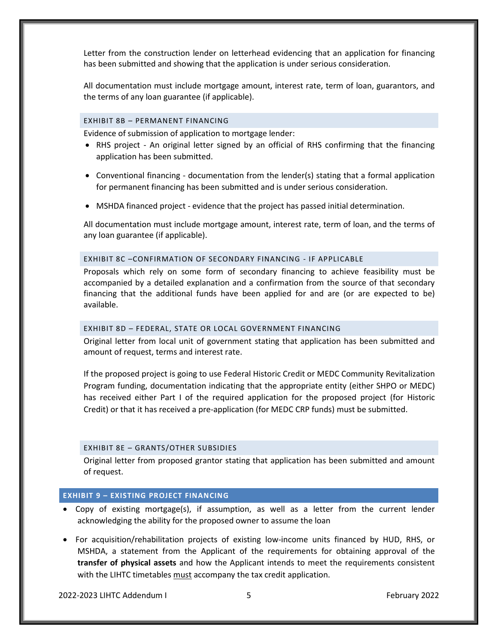Letter from the construction lender on letterhead evidencing that an application for financing has been submitted and showing that the application is under serious consideration.

All documentation must include mortgage amount, interest rate, term of loan, guarantors, and the terms of any loan guarantee (if applicable).

# EXHIBIT 8B – PERMANENT FINANCING

Evidence of submission of application to mortgage lender:

- RHS project An original letter signed by an official of RHS confirming that the financing application has been submitted.
- Conventional financing documentation from the lender(s) stating that a formal application for permanent financing has been submitted and is under serious consideration.
- MSHDA financed project evidence that the project has passed initial determination.

All documentation must include mortgage amount, interest rate, term of loan, and the terms of any loan guarantee (if applicable).

#### EXHIBIT 8C –CONFIRMATION OF SECONDARY FINANCING - IF APPLICABLE

Proposals which rely on some form of secondary financing to achieve feasibility must be accompanied by a detailed explanation and a confirmation from the source of that secondary financing that the additional funds have been applied for and are (or are expected to be) available.

#### EXHIBIT 8D – FEDERAL, STATE OR LOCAL GOVERNMENT FINANCING

Original letter from local unit of government stating that application has been submitted and amount of request, terms and interest rate.

If the proposed project is going to use Federal Historic Credit or MEDC Community Revitalization Program funding, documentation indicating that the appropriate entity (either SHPO or MEDC) has received either Part I of the required application for the proposed project (for Historic Credit) or that it has received a pre-application (for MEDC CRP funds) must be submitted.

#### EXHIBIT 8E – GRANTS/OTHER SUBSIDIES

Original letter from proposed grantor stating that application has been submitted and amount of request.

# **EXHIBIT 9 – EXISTING PROJECT FINANCING**

- Copy of existing mortgage(s), if assumption, as well as a letter from the current lender acknowledging the ability for the proposed owner to assume the loan
- For acquisition/rehabilitation projects of existing low-income units financed by HUD, RHS, or MSHDA, a statement from the Applicant of the requirements for obtaining approval of the **transfer of physical assets** and how the Applicant intends to meet the requirements consistent with the LIHTC timetables must accompany the tax credit application.

2022-2023 LIHTC Addendum I 5 February 2022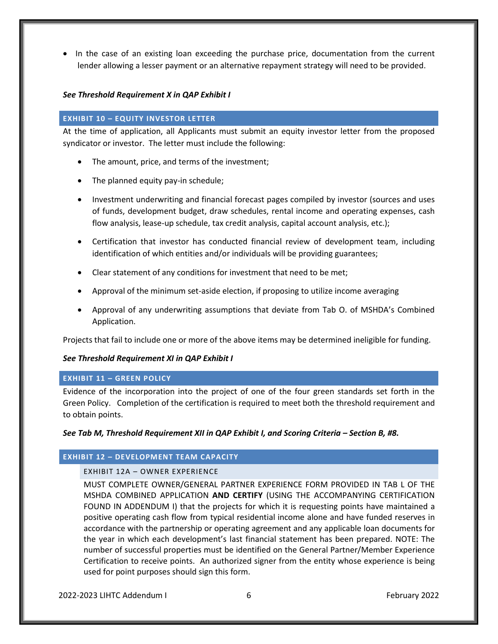• In the case of an existing loan exceeding the purchase price, documentation from the current lender allowing a lesser payment or an alternative repayment strategy will need to be provided.

# *See Threshold Requirement X in QAP Exhibit I*

#### **EXHIBIT 10 – EQUITY INVESTOR LETTER**

At the time of application, all Applicants must submit an equity investor letter from the proposed syndicator or investor. The letter must include the following:

- The amount, price, and terms of the investment;
- The planned equity pay-in schedule;
- Investment underwriting and financial forecast pages compiled by investor (sources and uses of funds, development budget, draw schedules, rental income and operating expenses, cash flow analysis, lease-up schedule, tax credit analysis, capital account analysis, etc.);
- Certification that investor has conducted financial review of development team, including identification of which entities and/or individuals will be providing guarantees;
- Clear statement of any conditions for investment that need to be met;
- Approval of the minimum set-aside election, if proposing to utilize income averaging
- Approval of any underwriting assumptions that deviate from Tab O. of MSHDA's Combined Application.

Projects that fail to include one or more of the above items may be determined ineligible for funding.

# *See Threshold Requirement XI in QAP Exhibit I*

# **EXHIBIT 11 – GREEN POLICY**

Evidence of the incorporation into the project of one of the four green standards set forth in the Green Policy. Completion of the certification is required to meet both the threshold requirement and to obtain points.

# *See Tab M, Threshold Requirement XII in QAP Exhibit I, and Scoring Criteria – Section B, #8.*

# **EXHIBIT 12 – DEVELOPMENT TEAM CAPACITY**

# EXHIBIT 12A – OWNER EXPERIENCE

MUST COMPLETE OWNER/GENERAL PARTNER EXPERIENCE FORM PROVIDED IN TAB L OF THE MSHDA COMBINED APPLICATION **AND CERTIFY** (USING THE ACCOMPANYING CERTIFICATION FOUND IN ADDENDUM I) that the projects for which it is requesting points have maintained a positive operating cash flow from typical residential income alone and have funded reserves in accordance with the partnership or operating agreement and any applicable loan documents for the year in which each development's last financial statement has been prepared. NOTE: The number of successful properties must be identified on the General Partner/Member Experience Certification to receive points. An authorized signer from the entity whose experience is being used for point purposes should sign this form.

2022-2023 LIHTC Addendum I 6 February 2022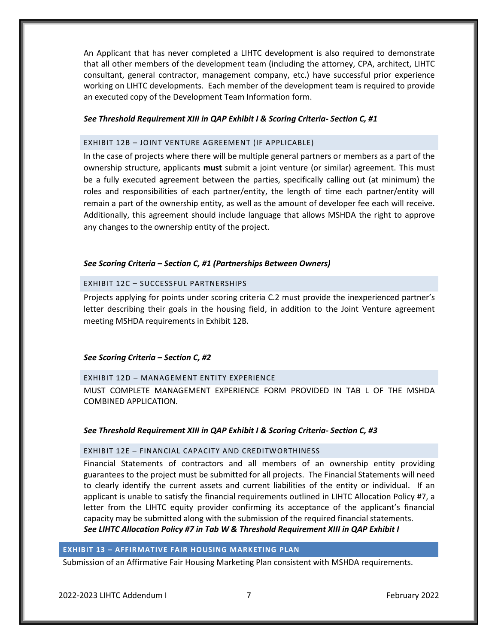An Applicant that has never completed a LIHTC development is also required to demonstrate that all other members of the development team (including the attorney, CPA, architect, LIHTC consultant, general contractor, management company, etc.) have successful prior experience working on LIHTC developments. Each member of the development team is required to provide an executed copy of the Development Team Information form.

# *See Threshold Requirement XIII in QAP Exhibit I & Scoring Criteria- Section C, #1*

#### EXHIBIT 12B – JOINT VENTURE AGREEMENT (IF APPLICABLE)

In the case of projects where there will be multiple general partners or members as a part of the ownership structure, applicants **must** submit a joint venture (or similar) agreement. This must be a fully executed agreement between the parties, specifically calling out (at minimum) the roles and responsibilities of each partner/entity, the length of time each partner/entity will remain a part of the ownership entity, as well as the amount of developer fee each will receive. Additionally, this agreement should include language that allows MSHDA the right to approve any changes to the ownership entity of the project.

#### *See Scoring Criteria – Section C, #1 (Partnerships Between Owners)*

# EXHIBIT 12C – SUCCESSFUL PARTNERSHIPS

Projects applying for points under scoring criteria C.2 must provide the inexperienced partner's letter describing their goals in the housing field, in addition to the Joint Venture agreement meeting MSHDA requirements in Exhibit 12B.

#### *See Scoring Criteria – Section C, #2*

#### EXHIBIT 12D – MANAGEMENT ENTITY EXPERIENCE

MUST COMPLETE MANAGEMENT EXPERIENCE FORM PROVIDED IN TAB L OF THE MSHDA COMBINED APPLICATION.

#### *See Threshold Requirement XIII in QAP Exhibit I & Scoring Criteria- Section C, #3*

#### EXHIBIT 12E – FINANCIAL CAPACITY AND CREDITWORTHINESS

Financial Statements of contractors and all members of an ownership entity providing guarantees to the project must be submitted for all projects. The Financial Statements will need to clearly identify the current assets and current liabilities of the entity or individual. If an applicant is unable to satisfy the financial requirements outlined in LIHTC Allocation Policy #7, a letter from the LIHTC equity provider confirming its acceptance of the applicant's financial capacity may be submitted along with the submission of the required financial statements. *See LIHTC Allocation Policy #7 in Tab W & Threshold Requirement XIII in QAP Exhibit I*

# **EXHIBIT 13 – AFFIRMATIVE FAIR HOUSING MARKETING PLAN**

Submission of an Affirmative Fair Housing Marketing Plan consistent with MSHDA requirements.

2022-2023 LIHTC Addendum I 7 February 2022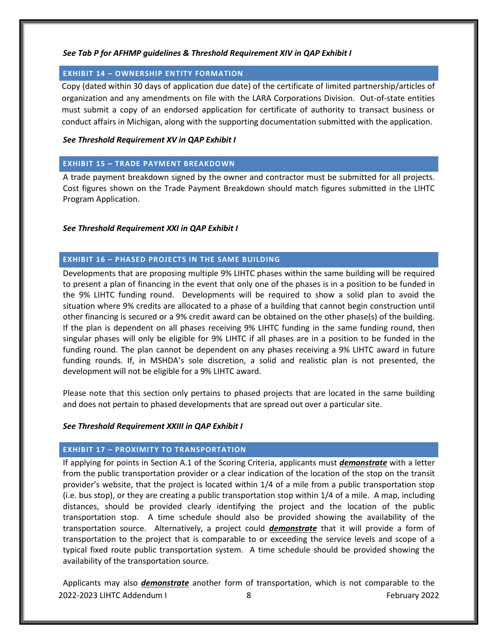# *See Tab P for AFHMP guidelines & Threshold Requirement XIV in QAP Exhibit I*

# **EXHIBIT 14 – OWNERSHIP ENTITY FORMATION**

Copy (dated within 30 days of application due date) of the certificate of limited partnership/articles of organization and any amendments on file with the LARA Corporations Division. Out-of-state entities must submit a copy of an endorsed application for certificate of authority to transact business or conduct affairs in Michigan, along with the supporting documentation submitted with the application.

# *See Threshold Requirement XV in QAP Exhibit I*

# **EXHIBIT 15 – TRADE PAYMENT BREAKDOWN**

A trade payment breakdown signed by the owner and contractor must be submitted for all projects. Cost figures shown on the Trade Payment Breakdown should match figures submitted in the LIHTC Program Application.

# *See Threshold Requirement XXI in QAP Exhibit I*

# **EXHIBIT 16 – PHASED PROJECTS IN THE SAME BUILDING**

Developments that are proposing multiple 9% LIHTC phases within the same building will be required to present a plan of financing in the event that only one of the phases is in a position to be funded in the 9% LIHTC funding round. Developments will be required to show a solid plan to avoid the situation where 9% credits are allocated to a phase of a building that cannot begin construction until other financing is secured or a 9% credit award can be obtained on the other phase(s) of the building. If the plan is dependent on all phases receiving 9% LIHTC funding in the same funding round, then singular phases will only be eligible for 9% LIHTC if all phases are in a position to be funded in the funding round. The plan cannot be dependent on any phases receiving a 9% LIHTC award in future funding rounds. If, in MSHDA's sole discretion, a solid and realistic plan is not presented, the development will not be eligible for a 9% LIHTC award.

Please note that this section only pertains to phased projects that are located in the same building and does not pertain to phased developments that are spread out over a particular site.

# *See Threshold Requirement XXIII in QAP Exhibit I*

# **EXHIBIT 17 – PROXIMITY TO TRANSPORTATION**

If applying for points in Section A.1 of the Scoring Criteria, applicants must *demonstrate* with a letter from the public transportation provider or a clear indication of the location of the stop on the transit provider's website, that the project is located within 1/4 of a mile from a public transportation stop (i.e. bus stop), or they are creating a public transportation stop within 1/4 of a mile. A map, including distances, should be provided clearly identifying the project and the location of the public transportation stop. A time schedule should also be provided showing the availability of the transportation source. Alternatively, a project could *demonstrate* that it will provide a form of transportation to the project that is comparable to or exceeding the service levels and scope of a typical fixed route public transportation system. A time schedule should be provided showing the availability of the transportation source.

2022-2023 LIHTC Addendum I 8 February 2022 Applicants may also *demonstrate* another form of transportation, which is not comparable to the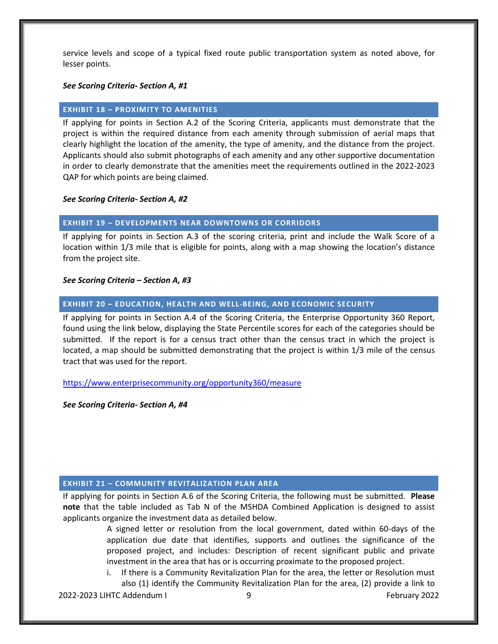service levels and scope of a typical fixed route public transportation system as noted above, for lesser points.

#### *See Scoring Criteria- Section A, #1*

#### **EXHIBIT 18 – PROXIMITY TO AMENITIES**

If applying for points in Section A.2 of the Scoring Criteria, applicants must demonstrate that the project is within the required distance from each amenity through submission of aerial maps that clearly highlight the location of the amenity, the type of amenity, and the distance from the project. Applicants should also submit photographs of each amenity and any other supportive documentation in order to clearly demonstrate that the amenities meet the requirements outlined in the 2022-2023 QAP for which points are being claimed.

#### *See Scoring Criteria- Section A, #2*

#### **EXHIBIT 19 – DEVELOPMENTS NEAR DOWNTOWNS OR CORRIDORS**

If applying for points in Section A.3 of the scoring criteria, print and include the Walk Score of a location within 1/3 mile that is eligible for points, along with a map showing the location's distance from the project site.

#### *See Scoring Criteria – Section A, #3*

#### **EXHIBIT 20 – EDUCATION, HEALTH AND WELL-BEING, AND ECONOMIC SECURITY**

If applying for points in Section A.4 of the Scoring Criteria, the Enterprise Opportunity 360 Report, found using the link below, displaying the State Percentile scores for each of the categories should be submitted. If the report is for a census tract other than the census tract in which the project is located, a map should be submitted demonstrating that the project is within 1/3 mile of the census tract that was used for the report.

<https://www.enterprisecommunity.org/opportunity360/measure>

*See Scoring Criteria- Section A, #4*

#### **EXHIBIT 21 – COMMUNITY REVITALIZATION PLAN AREA**

If applying for points in Section A.6 of the Scoring Criteria, the following must be submitted. **Please note** that the table included as Tab N of the MSHDA Combined Application is designed to assist applicants organize the investment data as detailed below.

> A signed letter or resolution from the local government, dated within 60-days of the application due date that identifies, supports and outlines the significance of the proposed project, and includes: Description of recent significant public and private investment in the area that has or is occurring proximate to the proposed project.

> If there is a Community Revitalization Plan for the area, the letter or Resolution must also (1) identify the Community Revitalization Plan for the area, (2) provide a link to

2022-2023 LIHTC Addendum I 9 February 2022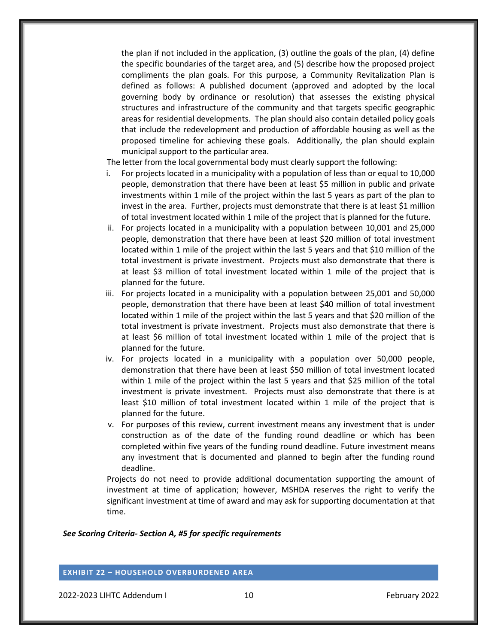the plan if not included in the application, (3) outline the goals of the plan, (4) define the specific boundaries of the target area, and (5) describe how the proposed project compliments the plan goals. For this purpose, a Community Revitalization Plan is defined as follows: A published document (approved and adopted by the local governing body by ordinance or resolution) that assesses the existing physical structures and infrastructure of the community and that targets specific geographic areas for residential developments. The plan should also contain detailed policy goals that include the redevelopment and production of affordable housing as well as the proposed timeline for achieving these goals. Additionally, the plan should explain municipal support to the particular area.

The letter from the local governmental body must clearly support the following:

- i. For projects located in a municipality with a population of less than or equal to 10,000 people, demonstration that there have been at least \$5 million in public and private investments within 1 mile of the project within the last 5 years as part of the plan to invest in the area. Further, projects must demonstrate that there is at least \$1 million of total investment located within 1 mile of the project that is planned for the future.
- ii. For projects located in a municipality with a population between 10,001 and 25,000 people, demonstration that there have been at least \$20 million of total investment located within 1 mile of the project within the last 5 years and that \$10 million of the total investment is private investment. Projects must also demonstrate that there is at least \$3 million of total investment located within 1 mile of the project that is planned for the future.
- iii. For projects located in a municipality with a population between 25,001 and 50,000 people, demonstration that there have been at least \$40 million of total investment located within 1 mile of the project within the last 5 years and that \$20 million of the total investment is private investment. Projects must also demonstrate that there is at least \$6 million of total investment located within 1 mile of the project that is planned for the future.
- iv. For projects located in a municipality with a population over 50,000 people, demonstration that there have been at least \$50 million of total investment located within 1 mile of the project within the last 5 years and that \$25 million of the total investment is private investment. Projects must also demonstrate that there is at least \$10 million of total investment located within 1 mile of the project that is planned for the future.
- v. For purposes of this review, current investment means any investment that is under construction as of the date of the funding round deadline or which has been completed within five years of the funding round deadline. Future investment means any investment that is documented and planned to begin after the funding round deadline.

Projects do not need to provide additional documentation supporting the amount of investment at time of application; however, MSHDA reserves the right to verify the significant investment at time of award and may ask for supporting documentation at that time.

*See Scoring Criteria- Section A, #5 for specific requirements*

**EXHIBIT 22 – HOUSEHOLD OVERBURDENED AREA**

2022-2023 LIHTC Addendum I 10 February 2022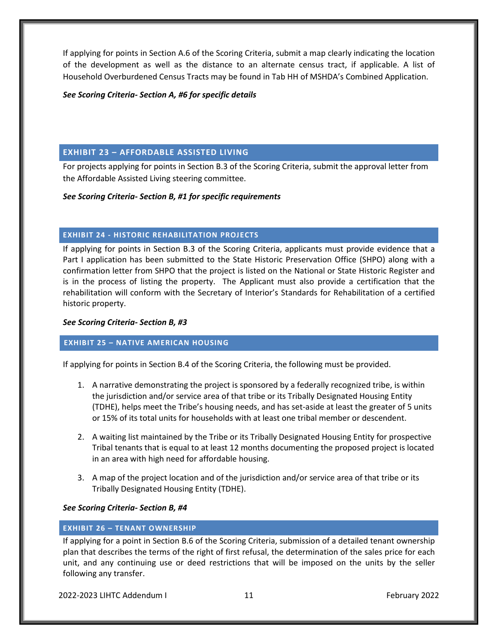If applying for points in Section A.6 of the Scoring Criteria, submit a map clearly indicating the location of the development as well as the distance to an alternate census tract, if applicable. A list of Household Overburdened Census Tracts may be found in Tab HH of MSHDA's Combined Application.

# *See Scoring Criteria- Section A, #6 for specific details*

# **EXHIBIT 23 – AFFORDABLE ASSISTED LIVING**

For projects applying for points in Section B.3 of the Scoring Criteria, submit the approval letter from the Affordable Assisted Living steering committee.

# *See Scoring Criteria- Section B, #1 for specific requirements*

# **EXHIBIT 24 - HISTORIC REHABILITATION PROJECTS**

If applying for points in Section B.3 of the Scoring Criteria, applicants must provide evidence that a Part I application has been submitted to the State Historic Preservation Office (SHPO) along with a confirmation letter from SHPO that the project is listed on the National or State Historic Register and is in the process of listing the property. The Applicant must also provide a certification that the rehabilitation will conform with the Secretary of Interior's Standards for Rehabilitation of a certified historic property.

# *See Scoring Criteria- Section B, #3*

# **EXHIBIT 25 – NATIVE AMERICAN HOUSING**

If applying for points in Section B.4 of the Scoring Criteria, the following must be provided.

- 1. A narrative demonstrating the project is sponsored by a federally recognized tribe, is within the jurisdiction and/or service area of that tribe or its Tribally Designated Housing Entity (TDHE), helps meet the Tribe's housing needs, and has set-aside at least the greater of 5 units or 15% of its total units for households with at least one tribal member or descendent.
- 2. A waiting list maintained by the Tribe or its Tribally Designated Housing Entity for prospective Tribal tenants that is equal to at least 12 months documenting the proposed project is located in an area with high need for affordable housing.
- 3. A map of the project location and of the jurisdiction and/or service area of that tribe or its Tribally Designated Housing Entity (TDHE).

# *See Scoring Criteria- Section B, #4*

# **EXHIBIT 26 – TENANT OWNERSHIP**

If applying for a point in Section B.6 of the Scoring Criteria, submission of a detailed tenant ownership plan that describes the terms of the right of first refusal, the determination of the sales price for each unit, and any continuing use or deed restrictions that will be imposed on the units by the seller following any transfer.

2022-2023 LIHTC Addendum I 11 February 2022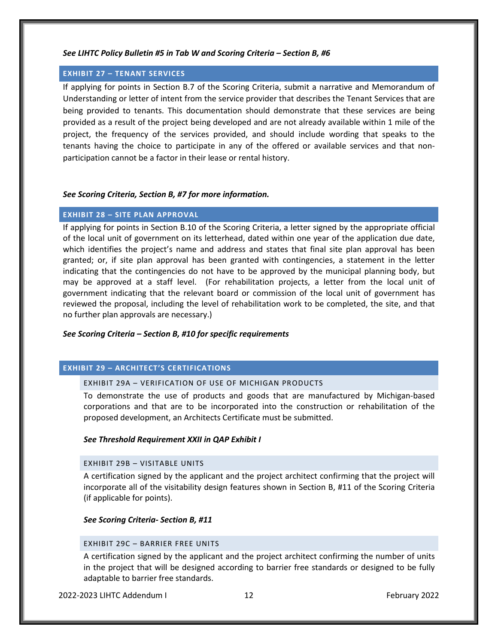#### *See LIHTC Policy Bulletin #5 in Tab W and Scoring Criteria – Section B, #6*

# **EXHIBIT 27 – TENANT SERVICES**

If applying for points in Section B.7 of the Scoring Criteria, submit a narrative and Memorandum of Understanding or letter of intent from the service provider that describes the Tenant Services that are being provided to tenants. This documentation should demonstrate that these services are being provided as a result of the project being developed and are not already available within 1 mile of the project, the frequency of the services provided, and should include wording that speaks to the tenants having the choice to participate in any of the offered or available services and that nonparticipation cannot be a factor in their lease or rental history.

# *See Scoring Criteria, Section B, #7 for more information.*

# **EXHIBIT 28 – SITE PLAN APPROVAL**

If applying for points in Section B.10 of the Scoring Criteria, a letter signed by the appropriate official of the local unit of government on its letterhead, dated within one year of the application due date, which identifies the project's name and address and states that final site plan approval has been granted; or, if site plan approval has been granted with contingencies, a statement in the letter indicating that the contingencies do not have to be approved by the municipal planning body, but may be approved at a staff level. (For rehabilitation projects, a letter from the local unit of government indicating that the relevant board or commission of the local unit of government has reviewed the proposal, including the level of rehabilitation work to be completed, the site, and that no further plan approvals are necessary.)

# *See Scoring Criteria – Section B, #10 for specific requirements*

# **EXHIBIT 29 – ARCHITECT'S CERTIFICATIONS**

#### EXHIBIT 29A – VERIFICATION OF USE OF MICHIGAN PRODUCTS

To demonstrate the use of products and goods that are manufactured by Michigan-based corporations and that are to be incorporated into the construction or rehabilitation of the proposed development, an Architects Certificate must be submitted.

#### *See Threshold Requirement XXII in QAP Exhibit I*

#### EXHIBIT 29B – VISITABLE UNITS

A certification signed by the applicant and the project architect confirming that the project will incorporate all of the visitability design features shown in Section B, #11 of the Scoring Criteria (if applicable for points).

*See Scoring Criteria- Section B, #11*

#### EXHIBIT 29C – BARRIER FREE UNITS

A certification signed by the applicant and the project architect confirming the number of units in the project that will be designed according to barrier free standards or designed to be fully adaptable to barrier free standards.

2022-2023 LIHTC Addendum I 12 February 2022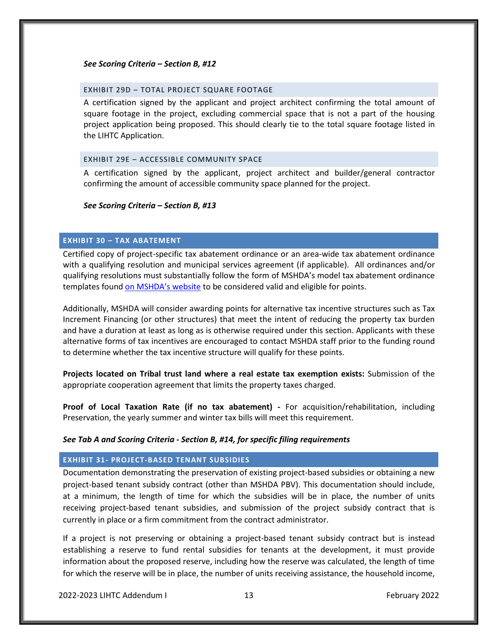#### *See Scoring Criteria – Section B, #12*

#### EXHIBIT 29D – TOTAL PROJECT SQUARE FOOTAGE

A certification signed by the applicant and project architect confirming the total amount of square footage in the project, excluding commercial space that is not a part of the housing project application being proposed. This should clearly tie to the total square footage listed in the LIHTC Application.

#### EXHIBIT 29E – ACCESSIBLE COMMUNITY SPACE

A certification signed by the applicant, project architect and builder/general contractor confirming the amount of accessible community space planned for the project.

#### *See Scoring Criteria – Section B, #13*

#### **EXHIBIT 30 – TAX ABATEMENT**

Certified copy of project-specific tax abatement ordinance or an area-wide tax abatement ordinance with a qualifying resolution and municipal services agreement (if applicable). All ordinances and/or qualifying resolutions must substantially follow the form of MSHDA's model tax abatement ordinance templates found [on MSHDA's website](http://www.michigan.gov/documents/mshda/mshda_li_ca_10_tab_a_model_tax_abatement_ordinances_442699_7.pdf) to be considered valid and eligible for points.

Additionally, MSHDA will consider awarding points for alternative tax incentive structures such as Tax Increment Financing (or other structures) that meet the intent of reducing the property tax burden and have a duration at least as long as is otherwise required under this section. Applicants with these alternative forms of tax incentives are encouraged to contact MSHDA staff prior to the funding round to determine whether the tax incentive structure will qualify for these points.

**Projects located on Tribal trust land where a real estate tax exemption exists:** Submission of the appropriate cooperation agreement that limits the property taxes charged.

**Proof of Local Taxation Rate (if no tax abatement) -** For acquisition/rehabilitation, including Preservation, the yearly summer and winter tax bills will meet this requirement.

#### *See Tab A and Scoring Criteria - Section B, #14, for specific filing requirements*

#### **EXHIBIT 31- PROJECT-BASED TENANT SUBSIDIES**

Documentation demonstrating the preservation of existing project-based subsidies or obtaining a new project-based tenant subsidy contract (other than MSHDA PBV). This documentation should include, at a minimum, the length of time for which the subsidies will be in place, the number of units receiving project-based tenant subsidies, and submission of the project subsidy contract that is currently in place or a firm commitment from the contract administrator.

If a project is not preserving or obtaining a project-based tenant subsidy contract but is instead establishing a reserve to fund rental subsidies for tenants at the development, it must provide information about the proposed reserve, including how the reserve was calculated, the length of time for which the reserve will be in place, the number of units receiving assistance, the household income,

2022-2023 LIHTC Addendum I 13 February 2022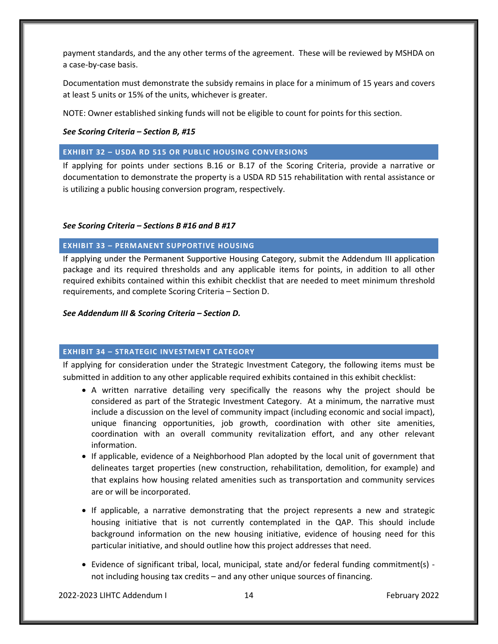payment standards, and the any other terms of the agreement. These will be reviewed by MSHDA on a case‐by‐case basis.

Documentation must demonstrate the subsidy remains in place for a minimum of 15 years and covers at least 5 units or 15% of the units, whichever is greater.

NOTE: Owner established sinking funds will not be eligible to count for points for this section.

*See Scoring Criteria – Section B, #15*

# **EXHIBIT 32 – USDA RD 515 OR PUBLIC HOUSING CONVERSIONS**

If applying for points under sections B.16 or B.17 of the Scoring Criteria, provide a narrative or documentation to demonstrate the property is a USDA RD 515 rehabilitation with rental assistance or is utilizing a public housing conversion program, respectively.

# *See Scoring Criteria – Sections B #16 and B #17*

# **EXHIBIT 33 – PERMANENT SUPPORTIVE HOUSING**

If applying under the Permanent Supportive Housing Category, submit the Addendum III application package and its required thresholds and any applicable items for points, in addition to all other required exhibits contained within this exhibit checklist that are needed to meet minimum threshold requirements, and complete Scoring Criteria – Section D.

# *See Addendum III & Scoring Criteria – Section D.*

# **EXHIBIT 34 – STRATEGIC INVESTMENT CATEGORY**

If applying for consideration under the Strategic Investment Category, the following items must be submitted in addition to any other applicable required exhibits contained in this exhibit checklist:

- A written narrative detailing very specifically the reasons why the project should be considered as part of the Strategic Investment Category. At a minimum, the narrative must include a discussion on the level of community impact (including economic and social impact), unique financing opportunities, job growth, coordination with other site amenities, coordination with an overall community revitalization effort, and any other relevant information.
- If applicable, evidence of a Neighborhood Plan adopted by the local unit of government that delineates target properties (new construction, rehabilitation, demolition, for example) and that explains how housing related amenities such as transportation and community services are or will be incorporated.
- If applicable, a narrative demonstrating that the project represents a new and strategic housing initiative that is not currently contemplated in the QAP. This should include background information on the new housing initiative, evidence of housing need for this particular initiative, and should outline how this project addresses that need.
- Evidence of significant tribal, local, municipal, state and/or federal funding commitment(s) not including housing tax credits – and any other unique sources of financing.

2022-2023 LIHTC Addendum I 14 February 2022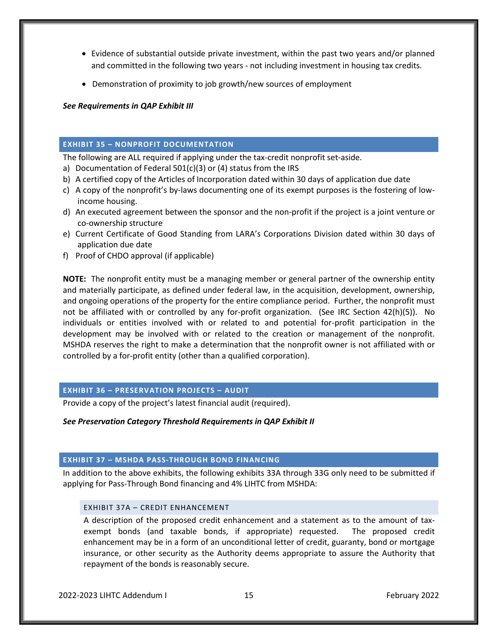- Evidence of substantial outside private investment, within the past two years and/or planned and committed in the following two years - not including investment in housing tax credits.
- Demonstration of proximity to job growth/new sources of employment

*See Requirements in QAP Exhibit III*

# **EXHIBIT 35 – NONPROFIT DOCUMENTATION**

The following are ALL required if applying under the tax-credit nonprofit set-aside.

- a) Documentation of Federal 501(c)(3) or (4) status from the IRS
- b) A certified copy of the Articles of Incorporation dated within 30 days of application due date
- c) A copy of the nonprofit's by-laws documenting one of its exempt purposes is the fostering of lowincome housing.
- d) An executed agreement between the sponsor and the non-profit if the project is a joint venture or co-ownership structure
- e) Current Certificate of Good Standing from LARA's Corporations Division dated within 30 days of application due date
- f) Proof of CHDO approval (if applicable)

**NOTE:** The nonprofit entity must be a managing member or general partner of the ownership entity and materially participate, as defined under federal law, in the acquisition, development, ownership, and ongoing operations of the property for the entire compliance period. Further, the nonprofit must not be affiliated with or controlled by any for-profit organization. (See IRC Section 42(h)(5)). No individuals or entities involved with or related to and potential for-profit participation in the development may be involved with or related to the creation or management of the nonprofit. MSHDA reserves the right to make a determination that the nonprofit owner is not affiliated with or controlled by a for-profit entity (other than a qualified corporation).

# **EXHIBIT 36 – PRESERVATION PROJECTS – AUDIT**

Provide a copy of the project's latest financial audit (required).

# *See Preservation Category Threshold Requirements in QAP Exhibit II*

# **EXHIBIT 37 – MSHDA PASS-THROUGH BOND FINANCING**

In addition to the above exhibits, the following exhibits 33A through 33G only need to be submitted if applying for Pass-Through Bond financing and 4% LIHTC from MSHDA:

# EXHIBIT 37A – CREDIT ENHANCEMENT

A description of the proposed credit enhancement and a statement as to the amount of taxexempt bonds (and taxable bonds, if appropriate) requested. The proposed credit enhancement may be in a form of an unconditional letter of credit, guaranty, bond or mortgage insurance, or other security as the Authority deems appropriate to assure the Authority that repayment of the bonds is reasonably secure.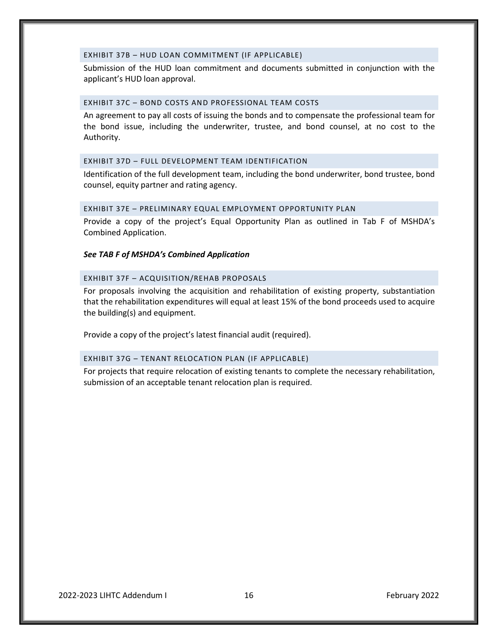#### EXHIBIT 37B – HUD LOAN COMMITMENT (IF APPLICABLE)

Submission of the HUD loan commitment and documents submitted in conjunction with the applicant's HUD loan approval.

#### EXHIBIT 37C – BOND COSTS AND PROFESSIONAL TEAM COSTS

An agreement to pay all costs of issuing the bonds and to compensate the professional team for the bond issue, including the underwriter, trustee, and bond counsel, at no cost to the Authority.

#### EXHIBIT 37D – FULL DEVELOPMENT TEAM IDENTIFICATION

Identification of the full development team, including the bond underwriter, bond trustee, bond counsel, equity partner and rating agency.

#### EXHIBIT 37E – PRELIMINARY EQUAL EMPLOYMENT OPPORTUNITY PLAN

Provide a copy of the project's Equal Opportunity Plan as outlined in Tab F of MSHDA's Combined Application.

#### *See TAB F of MSHDA's Combined Application*

#### EXHIBIT 37F – ACQUISITION/REHAB PROPOSALS

For proposals involving the acquisition and rehabilitation of existing property, substantiation that the rehabilitation expenditures will equal at least 15% of the bond proceeds used to acquire the building(s) and equipment.

Provide a copy of the project's latest financial audit (required).

#### EXHIBIT 37G – TENANT RELOCATION PLAN (IF APPLICABLE)

For projects that require relocation of existing tenants to complete the necessary rehabilitation, submission of an acceptable tenant relocation plan is required.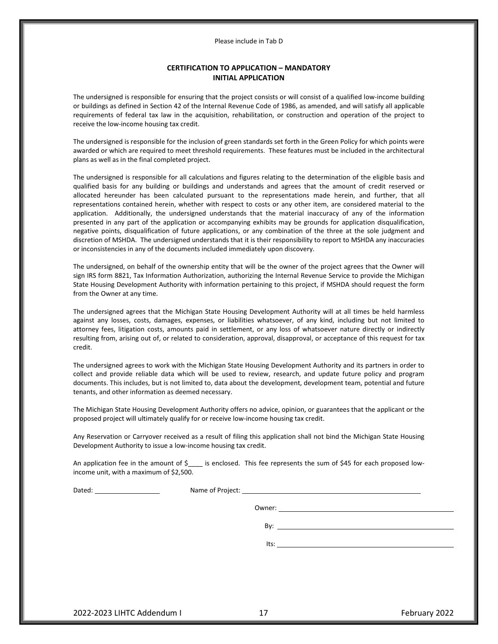Please include in Tab D

#### **CERTIFICATION TO APPLICATION – MANDATORY INITIAL APPLICATION**

The undersigned is responsible for ensuring that the project consists or will consist of a qualified low-income building or buildings as defined in Section 42 of the Internal Revenue Code of 1986, as amended, and will satisfy all applicable requirements of federal tax law in the acquisition, rehabilitation, or construction and operation of the project to receive the low-income housing tax credit.

The undersigned is responsible for the inclusion of green standards set forth in the Green Policy for which points were awarded or which are required to meet threshold requirements. These features must be included in the architectural plans as well as in the final completed project.

The undersigned is responsible for all calculations and figures relating to the determination of the eligible basis and qualified basis for any building or buildings and understands and agrees that the amount of credit reserved or allocated hereunder has been calculated pursuant to the representations made herein, and further, that all representations contained herein, whether with respect to costs or any other item, are considered material to the application. Additionally, the undersigned understands that the material inaccuracy of any of the information presented in any part of the application or accompanying exhibits may be grounds for application disqualification, negative points, disqualification of future applications, or any combination of the three at the sole judgment and discretion of MSHDA. The undersigned understands that it is their responsibility to report to MSHDA any inaccuracies or inconsistencies in any of the documents included immediately upon discovery.

The undersigned, on behalf of the ownership entity that will be the owner of the project agrees that the Owner will sign IRS form 8821, Tax Information Authorization, authorizing the Internal Revenue Service to provide the Michigan State Housing Development Authority with information pertaining to this project, if MSHDA should request the form from the Owner at any time.

The undersigned agrees that the Michigan State Housing Development Authority will at all times be held harmless against any losses, costs, damages, expenses, or liabilities whatsoever, of any kind, including but not limited to attorney fees, litigation costs, amounts paid in settlement, or any loss of whatsoever nature directly or indirectly resulting from, arising out of, or related to consideration, approval, disapproval, or acceptance of this request for tax credit.

The undersigned agrees to work with the Michigan State Housing Development Authority and its partners in order to collect and provide reliable data which will be used to review, research, and update future policy and program documents. This includes, but is not limited to, data about the development, development team, potential and future tenants, and other information as deemed necessary.

The Michigan State Housing Development Authority offers no advice, opinion, or guarantees that the applicant or the proposed project will ultimately qualify for or receive low-income housing tax credit.

Any Reservation or Carryover received as a result of filing this application shall not bind the Michigan State Housing Development Authority to issue a low-income housing tax credit.

An application fee in the amount of  $\zeta$  is enclosed. This fee represents the sum of  $\zeta$ 45 for each proposed lowincome unit, with a maximum of \$2,500.

| Owner:                                                                                                                                                                                                                         |  |
|--------------------------------------------------------------------------------------------------------------------------------------------------------------------------------------------------------------------------------|--|
| By: the contract of the contract of the contract of the contract of the contract of the contract of the contract of the contract of the contract of the contract of the contract of the contract of the contract of the contra |  |
|                                                                                                                                                                                                                                |  |
|                                                                                                                                                                                                                                |  |
|                                                                                                                                                                                                                                |  |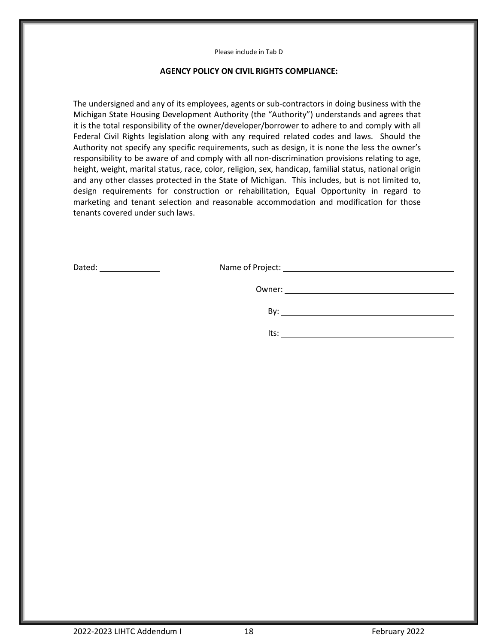Please include in Tab D

# **AGENCY POLICY ON CIVIL RIGHTS COMPLIANCE:**

The undersigned and any of its employees, agents or sub-contractors in doing business with the Michigan State Housing Development Authority (the "Authority") understands and agrees that it is the total responsibility of the owner/developer/borrower to adhere to and comply with all Federal Civil Rights legislation along with any required related codes and laws. Should the Authority not specify any specific requirements, such as design, it is none the less the owner's responsibility to be aware of and comply with all non-discrimination provisions relating to age, height, weight, marital status, race, color, religion, sex, handicap, familial status, national origin and any other classes protected in the State of Michigan. This includes, but is not limited to, design requirements for construction or rehabilitation, Equal Opportunity in regard to marketing and tenant selection and reasonable accommodation and modification for those tenants covered under such laws.

| the control of the control of the control of the control of the control of the control of                                                                                                                                            | Bv:  |
|--------------------------------------------------------------------------------------------------------------------------------------------------------------------------------------------------------------------------------------|------|
| <u>and the contract of the contract of the contract of the contract of the contract of the contract of the contract of the contract of the contract of the contract of the contract of the contract of the contract of the contr</u> | lts: |

Dated: Name of Project: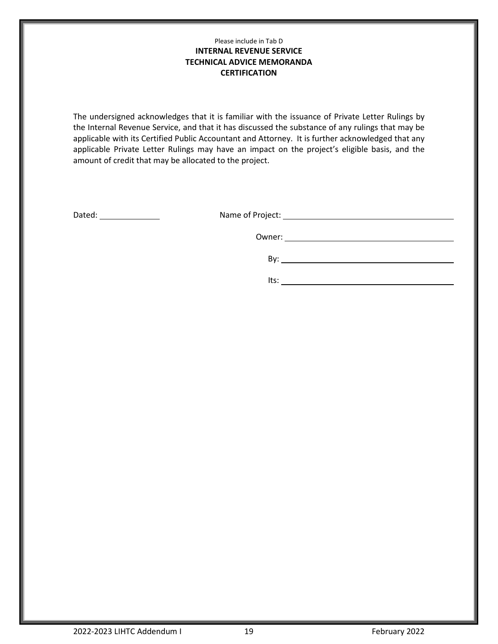# Please include in Tab D **INTERNAL REVENUE SERVICE TECHNICAL ADVICE MEMORANDA CERTIFICATION**

The undersigned acknowledges that it is familiar with the issuance of Private Letter Rulings by the Internal Revenue Service, and that it has discussed the substance of any rulings that may be applicable with its Certified Public Accountant and Attorney. It is further acknowledged that any applicable Private Letter Rulings may have an impact on the project's eligible basis, and the amount of credit that may be allocated to the project.

Dated: <u>Name of Project:</u> Name of Project:

Owner: <u>with the community of the community of the community of the community of the community of the community of the community of the community of the community of the community of the community of the community of the c</u>

By: <u>second</u> contract the contract of the contract of the contract of the contract of the contract of the contract of the contract of the contract of the contract of the contract of the contract of the contract of the cont

Its:  $\qquad \qquad$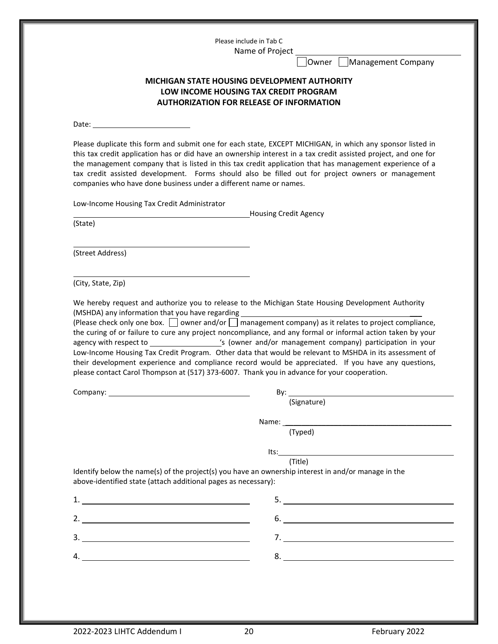Please include in Tab C Name of Project

Owner Management Company

# **MICHIGAN STATE HOUSING DEVELOPMENT AUTHORITY LOW INCOME HOUSING TAX CREDIT PROGRAM AUTHORIZATION FOR RELEASE OF INFORMATION**

Date:

Please duplicate this form and submit one for each state, EXCEPT MICHIGAN, in which any sponsor listed in this tax credit application has or did have an ownership interest in a tax credit assisted project, and one for the management company that is listed in this tax credit application that has management experience of a tax credit assisted development. Forms should also be filled out for project owners or management companies who have done business under a different name or names.

Low-Income Housing Tax Credit Administrator

Housing Credit Agency

(State)

(Street Address)

(City, State, Zip)

We hereby request and authorize you to release to the Michigan State Housing Development Authority (MSHDA) any information that you have regarding

(Please check only one box.  $\Box$  owner and/or  $\Box$  management company) as it relates to project compliance, the curing of or failure to cure any project noncompliance, and any formal or informal action taken by your agency with respect to \_\_\_\_\_\_\_\_\_\_\_\_\_\_\_\_\_'s (owner and/or management company) participation in your Low-Income Housing Tax Credit Program. Other data that would be relevant to MSHDA in its assessment of their development experience and compliance record would be appreciated. If you have any questions, please contact Carol Thompson at (517) 373-6007. Thank you in advance for your cooperation.

|                                                                                                                                                                       | (Signature)                                                                                            |
|-----------------------------------------------------------------------------------------------------------------------------------------------------------------------|--------------------------------------------------------------------------------------------------------|
|                                                                                                                                                                       |                                                                                                        |
|                                                                                                                                                                       | (Typed)                                                                                                |
|                                                                                                                                                                       | $Its:\_$                                                                                               |
|                                                                                                                                                                       | (Title)                                                                                                |
| Identify below the name(s) of the project(s) you have an ownership interest in and/or manage in the<br>above-identified state (attach additional pages as necessary): |                                                                                                        |
|                                                                                                                                                                       |                                                                                                        |
| 2. $\qquad \qquad$                                                                                                                                                    | $\begin{tabular}{c} 6. & \textcolor{red}{\textbf{5.}} & \textcolor{red}{\textbf{5.}} \\ \end{tabular}$ |
| <u> 1980 - Andrea State Barbara, política establece</u>                                                                                                               |                                                                                                        |
|                                                                                                                                                                       |                                                                                                        |
|                                                                                                                                                                       |                                                                                                        |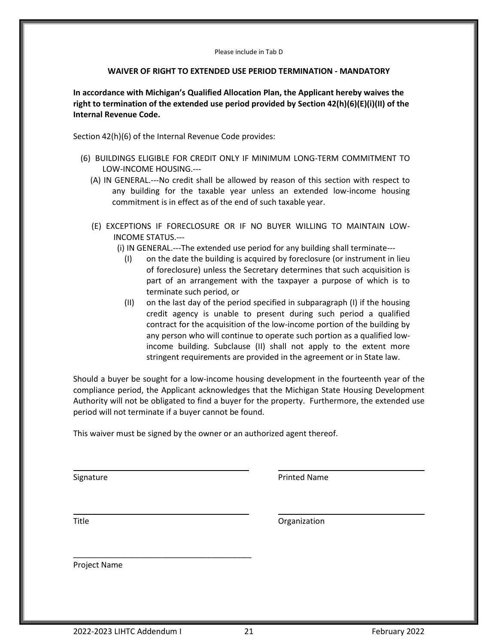Please include in Tab D

# **WAIVER OF RIGHT TO EXTENDED USE PERIOD TERMINATION - MANDATORY**

**In accordance with Michigan's Qualified Allocation Plan, the Applicant hereby waives the right to termination of the extended use period provided by Section 42(h)(6)(E)(i)(II) of the Internal Revenue Code.** 

Section 42(h)(6) of the Internal Revenue Code provides:

- (6) BUILDINGS ELIGIBLE FOR CREDIT ONLY IF MINIMUM LONG-TERM COMMITMENT TO LOW-INCOME HOUSING.---
	- (A) IN GENERAL.---No credit shall be allowed by reason of this section with respect to any building for the taxable year unless an extended low-income housing commitment is in effect as of the end of such taxable year.
	- (E) EXCEPTIONS IF FORECLOSURE OR IF NO BUYER WILLING TO MAINTAIN LOW-INCOME STATUS.---
		- (i) IN GENERAL.---The extended use period for any building shall terminate---
			- (I) on the date the building is acquired by foreclosure (or instrument in lieu of foreclosure) unless the Secretary determines that such acquisition is part of an arrangement with the taxpayer a purpose of which is to terminate such period, or
			- (II) on the last day of the period specified in subparagraph (I) if the housing credit agency is unable to present during such period a qualified contract for the acquisition of the low-income portion of the building by any person who will continue to operate such portion as a qualified lowincome building. Subclause (II) shall not apply to the extent more stringent requirements are provided in the agreement or in State law.

Should a buyer be sought for a low-income housing development in the fourteenth year of the compliance period, the Applicant acknowledges that the Michigan State Housing Development Authority will not be obligated to find a buyer for the property. Furthermore, the extended use period will not terminate if a buyer cannot be found.

This waiver must be signed by the owner or an authorized agent thereof.

Signature **Printed Name** 

Title **The Community Community** Community Community Community Community Community Community Community Community Community Community Community Community Community Community Community Community Community Community Community

Project Name

\_\_\_\_\_\_\_\_\_\_\_\_\_\_\_\_\_\_\_\_\_\_\_\_\_\_\_\_\_\_\_\_\_\_\_\_\_\_\_\_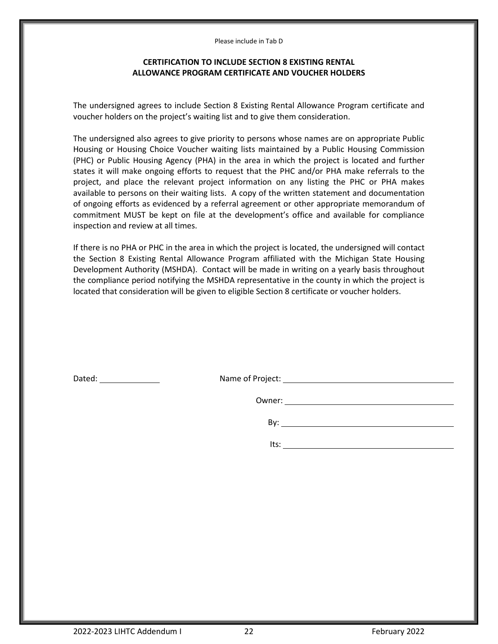Please include in Tab D

# **CERTIFICATION TO INCLUDE SECTION 8 EXISTING RENTAL ALLOWANCE PROGRAM CERTIFICATE AND VOUCHER HOLDERS**

The undersigned agrees to include Section 8 Existing Rental Allowance Program certificate and voucher holders on the project's waiting list and to give them consideration.

The undersigned also agrees to give priority to persons whose names are on appropriate Public Housing or Housing Choice Voucher waiting lists maintained by a Public Housing Commission (PHC) or Public Housing Agency (PHA) in the area in which the project is located and further states it will make ongoing efforts to request that the PHC and/or PHA make referrals to the project, and place the relevant project information on any listing the PHC or PHA makes available to persons on their waiting lists. A copy of the written statement and documentation of ongoing efforts as evidenced by a referral agreement or other appropriate memorandum of commitment MUST be kept on file at the development's office and available for compliance inspection and review at all times.

If there is no PHA or PHC in the area in which the project is located, the undersigned will contact the Section 8 Existing Rental Allowance Program affiliated with the Michigan State Housing Development Authority (MSHDA). Contact will be made in writing on a yearly basis throughout the compliance period notifying the MSHDA representative in the county in which the project is located that consideration will be given to eligible Section 8 certificate or voucher holders.

| Dated: |  |
|--------|--|
|        |  |

Name of Project: Name of Project:

Owner:

By:

Its: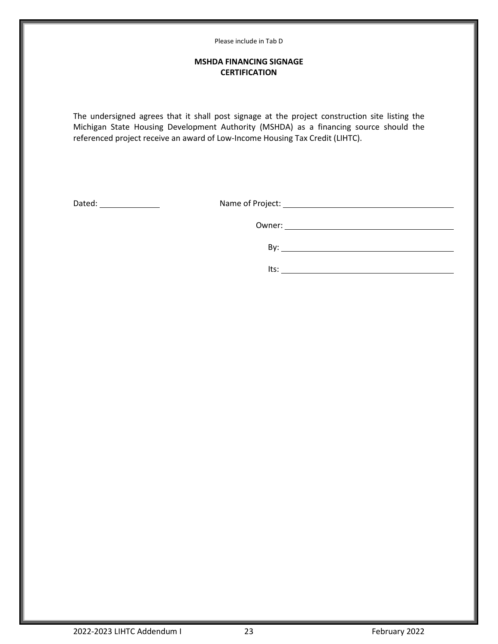# **MSHDA FINANCING SIGNAGE CERTIFICATION**

The undersigned agrees that it shall post signage at the project construction site listing the Michigan State Housing Development Authority (MSHDA) as a financing source should the referenced project receive an award of Low-Income Housing Tax Credit (LIHTC).

Dated: Name of Project:

Owner: when the contract of the contract of the contract of the contract of the contract of the contract of the contract of the contract of the contract of the contract of the contract of the contract of the contract of th

 By: Its: <u>with the contract of the contract of the contract of the contract of the contract of the contract of the contract of the contract of the contract of the contract of the contract of the contract of the contract of the</u>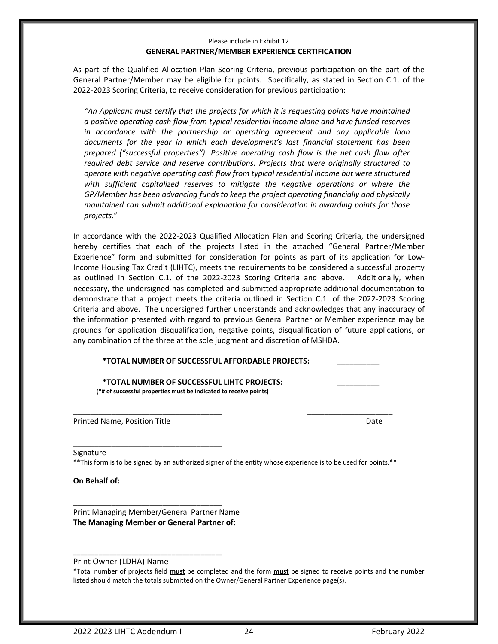#### Please include in Exhibit 12 **GENERAL PARTNER/MEMBER EXPERIENCE CERTIFICATION**

As part of the Qualified Allocation Plan Scoring Criteria, previous participation on the part of the General Partner/Member may be eligible for points. Specifically, as stated in Section C.1. of the 2022-2023 Scoring Criteria, to receive consideration for previous participation:

*"An Applicant must certify that the projects for which it is requesting points have maintained a positive operating cash flow from typical residential income alone and have funded reserves in accordance with the partnership or operating agreement and any applicable loan documents for the year in which each development's last financial statement has been prepared ("successful properties"). Positive operating cash flow is the net cash flow after required debt service and reserve contributions. Projects that were originally structured to operate with negative operating cash flow from typical residential income but were structured with sufficient capitalized reserves to mitigate the negative operations or where the GP/Member has been advancing funds to keep the project operating financially and physically maintained can submit additional explanation for consideration in awarding points for those projects*."

In accordance with the 2022-2023 Qualified Allocation Plan and Scoring Criteria, the undersigned hereby certifies that each of the projects listed in the attached "General Partner/Member Experience" form and submitted for consideration for points as part of its application for Low-Income Housing Tax Credit (LIHTC), meets the requirements to be considered a successful property as outlined in Section C.1. of the 2022-2023 Scoring Criteria and above. Additionally, when necessary, the undersigned has completed and submitted appropriate additional documentation to demonstrate that a project meets the criteria outlined in Section C.1. of the 2022-2023 Scoring Criteria and above. The undersigned further understands and acknowledges that any inaccuracy of the information presented with regard to previous General Partner or Member experience may be grounds for application disqualification, negative points, disqualification of future applications, or any combination of the three at the sole judgment and discretion of MSHDA.

# **\*TOTAL NUMBER OF SUCCESSFUL AFFORDABLE PROJECTS: \_\_\_\_\_\_\_\_\_\_**

**\*TOTAL NUMBER OF SUCCESSFUL LIHTC PROJECTS: \_\_\_\_\_\_\_\_\_\_ (\*# of successful properties must be indicated to receive points)**

Printed Name, Position Title **Date of Contract Contract Contract Contract Contract Contract Contract Contract Contract Contract Contract Contract Contract Contract Contract Contract Contract Contract Contract Contract Cont** 

#### Signature

\*\*This form is to be signed by an authorized signer of the entity whose experience is to be used for points.\*\*

\_\_\_\_\_\_\_\_\_\_\_\_\_\_\_\_\_\_\_\_\_\_\_\_\_\_\_\_\_\_\_\_\_\_\_ \_\_\_\_\_\_\_\_\_\_\_\_\_\_\_\_\_\_\_\_

**On Behalf of:**

Print Managing Member/General Partner Name **The Managing Member or General Partner of:**

\_\_\_\_\_\_\_\_\_\_\_\_\_\_\_\_\_\_\_\_\_\_\_\_\_\_\_\_\_\_\_\_\_\_\_

\_\_\_\_\_\_\_\_\_\_\_\_\_\_\_\_\_\_\_\_\_\_\_\_\_\_\_\_\_\_\_\_\_\_\_

\_\_\_\_\_\_\_\_\_\_\_\_\_\_\_\_\_\_\_\_\_\_\_\_\_\_\_\_\_\_\_\_\_\_\_\_\_\_\_\_\_

Print Owner (LDHA) Name

\*Total number of projects field **must** be completed and the form **must** be signed to receive points and the number listed should match the totals submitted on the Owner/General Partner Experience page(s).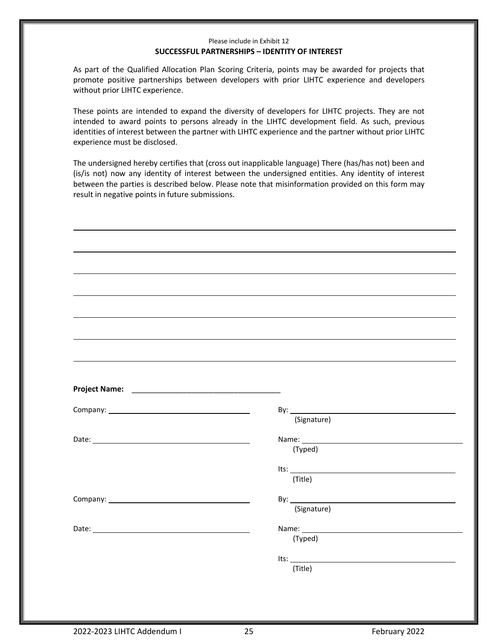# Please include in Exhibit 12 **SUCCESSFUL PARTNERSHIPS – IDENTITY OF INTEREST**

As part of the Qualified Allocation Plan Scoring Criteria, points may be awarded for projects that promote positive partnerships between developers with prior LIHTC experience and developers without prior LIHTC experience.

These points are intended to expand the diversity of developers for LIHTC projects. They are not intended to award points to persons already in the LIHTC development field. As such, previous identities of interest between the partner with LIHTC experience and the partner without prior LIHTC experience must be disclosed.

The undersigned hereby certifies that (cross out inapplicable language) There (has/has not) been and (is/is not) now any identity of interest between the undersigned entities. Any identity of interest between the parties is described below. Please note that misinformation provided on this form may result in negative points in future submissions.

| (Signature)                                                                                                                                                                                                                   |
|-------------------------------------------------------------------------------------------------------------------------------------------------------------------------------------------------------------------------------|
|                                                                                                                                                                                                                               |
|                                                                                                                                                                                                                               |
| (Typed)                                                                                                                                                                                                                       |
|                                                                                                                                                                                                                               |
| Its: $\qquad \qquad$                                                                                                                                                                                                          |
| (Title)                                                                                                                                                                                                                       |
|                                                                                                                                                                                                                               |
|                                                                                                                                                                                                                               |
| (Signature)                                                                                                                                                                                                                   |
|                                                                                                                                                                                                                               |
| Name: Name: Name: Name: Name: Name: Name: Name: Name: Name: Name: Name: Name: Name: Name: Name: Name: Name: Name: Name: Name: Name: Name: Name: Name: Name: Name: Name: Name: Name: Name: Name: Name: Name: Name: Name: Name: |
| (Typed)                                                                                                                                                                                                                       |
|                                                                                                                                                                                                                               |
| (Title)                                                                                                                                                                                                                       |
|                                                                                                                                                                                                                               |
|                                                                                                                                                                                                                               |
|                                                                                                                                                                                                                               |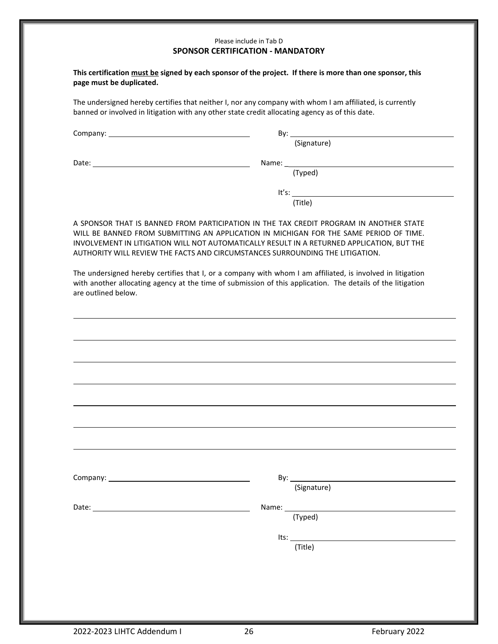#### Please include in Tab D **SPONSOR CERTIFICATION - MANDATORY**

| This certification must be signed by each sponsor of the project. If there is more than one sponsor, this |  |
|-----------------------------------------------------------------------------------------------------------|--|
| page must be duplicated.                                                                                  |  |

The undersigned hereby certifies that neither I, nor any company with whom I am affiliated, is currently banned or involved in litigation with any other state credit allocating agency as of this date.

Company: By:

(Signature)

Date: Name: \_

(Typed)

It's:  $\frac{1}{1}$ (Title)

A SPONSOR THAT IS BANNED FROM PARTICIPATION IN THE TAX CREDIT PROGRAM IN ANOTHER STATE WILL BE BANNED FROM SUBMITTING AN APPLICATION IN MICHIGAN FOR THE SAME PERIOD OF TIME. INVOLVEMENT IN LITIGATION WILL NOT AUTOMATICALLY RESULT IN A RETURNED APPLICATION, BUT THE AUTHORITY WILL REVIEW THE FACTS AND CIRCUMSTANCES SURROUNDING THE LITIGATION.

The undersigned hereby certifies that I, or a company with whom I am affiliated, is involved in litigation with another allocating agency at the time of submission of this application. The details of the litigation are outlined below.

| (Signature)         |  |
|---------------------|--|
|                     |  |
|                     |  |
|                     |  |
| (Typed)             |  |
|                     |  |
| $Its: ____________$ |  |
|                     |  |
|                     |  |
| (Title)             |  |
|                     |  |
|                     |  |
|                     |  |
|                     |  |
|                     |  |
|                     |  |
|                     |  |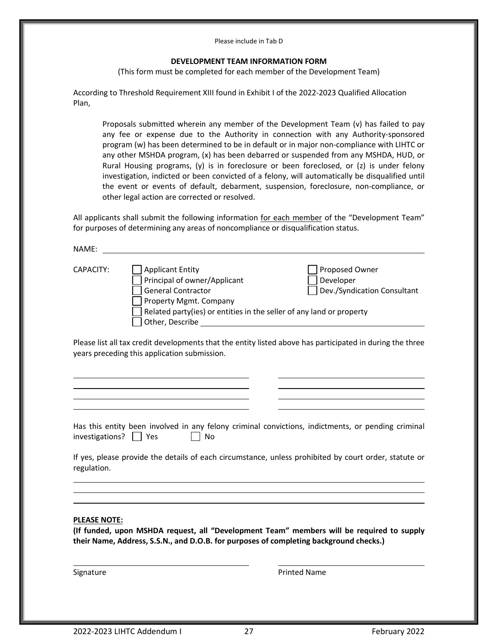#### Please include in Tab D

#### **DEVELOPMENT TEAM INFORMATION FORM**

(This form must be completed for each member of the Development Team)

According to Threshold Requirement XIII found in Exhibit I of the 2022-2023 Qualified Allocation Plan,

Proposals submitted wherein any member of the Development Team (v) has failed to pay any fee or expense due to the Authority in connection with any Authority-sponsored program (w) has been determined to be in default or in major non-compliance with LIHTC or any other MSHDA program, (x) has been debarred or suspended from any MSHDA, HUD, or Rural Housing programs, (y) is in foreclosure or been foreclosed, or (z) is under felony investigation, indicted or been convicted of a felony, will automatically be disqualified until the event or events of default, debarment, suspension, foreclosure, non-compliance, or other legal action are corrected or resolved.

All applicants shall submit the following information for each member of the "Development Team" for purposes of determining any areas of noncompliance or disqualification status.

| NAME:     |                                                                                                                                                                                                           |                                                                                                           |
|-----------|-----------------------------------------------------------------------------------------------------------------------------------------------------------------------------------------------------------|-----------------------------------------------------------------------------------------------------------|
| CAPACITY: | <b>Applicant Entity</b><br>Principal of owner/Applicant<br><b>General Contractor</b><br>Property Mgmt. Company<br>Related party(ies) or entities in the seller of any land or property<br>Other, Describe | Proposed Owner<br>Developer<br>Dev./Syndication Consultant                                                |
|           | years preceding this application submission.                                                                                                                                                              | Please list all tax credit developments that the entity listed above has participated in during the three |

| Has this entity been involved in any felony criminal convictions, indictments, or pending criminal |            |  |  |  |
|----------------------------------------------------------------------------------------------------|------------|--|--|--|
| investigations? $\Box$ Yes                                                                         | $\vert$ No |  |  |  |

If yes, please provide the details of each circumstance, unless prohibited by court order, statute or regulation.

#### **PLEASE NOTE:**

 $\ldots$ 

**(If funded, upon MSHDA request, all "Development Team" members will be required to supply their Name, Address, S.S.N., and D.O.B. for purposes of completing background checks.)**

Signature *Printed Name* **Printed Name**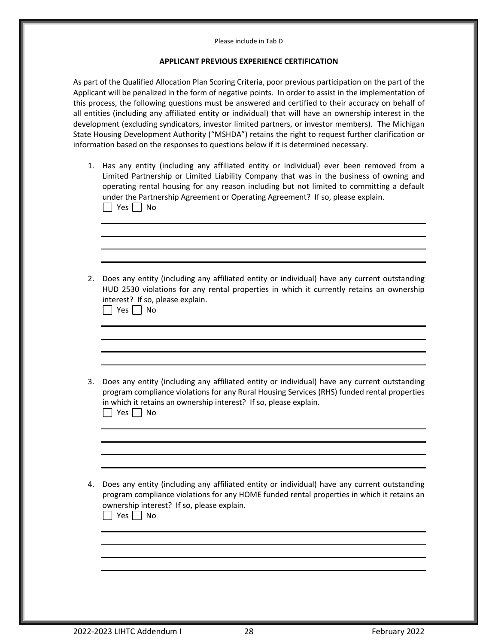#### Please include in Tab D

#### **APPLICANT PREVIOUS EXPERIENCE CERTIFICATION**

As part of the Qualified Allocation Plan Scoring Criteria, poor previous participation on the part of the Applicant will be penalized in the form of negative points. In order to assist in the implementation of this process, the following questions must be answered and certified to their accuracy on behalf of all entities (including any affiliated entity or individual) that will have an ownership interest in the development (excluding syndicators, investor limited partners, or investor members). The Michigan State Housing Development Authority ("MSHDA") retains the right to request further clarification or information based on the responses to questions below if it is determined necessary.

- 1. Has any entity (including any affiliated entity or individual) ever been removed from a Limited Partnership or Limited Liability Company that was in the business of owning and operating rental housing for any reason including but not limited to committing a default under the Partnership Agreement or Operating Agreement? If so, please explain. No Res No
- 2. Does any entity (including any affiliated entity or individual) have any current outstanding HUD 2530 violations for any rental properties in which it currently retains an ownership interest? If so, please explain.

 $\Box$  Yes  $\Box$  No

- 3. Does any entity (including any affiliated entity or individual) have any current outstanding program compliance violations for any Rural Housing Services (RHS) funded rental properties in which it retains an ownership interest? If so, please explain.  $\Box$  Yes  $\Box$  No
- 4. Does any entity (including any affiliated entity or individual) have any current outstanding program compliance violations for any HOME funded rental properties in which it retains an ownership interest? If so, please explain.

|  |  |  | N۵ |
|--|--|--|----|
|--|--|--|----|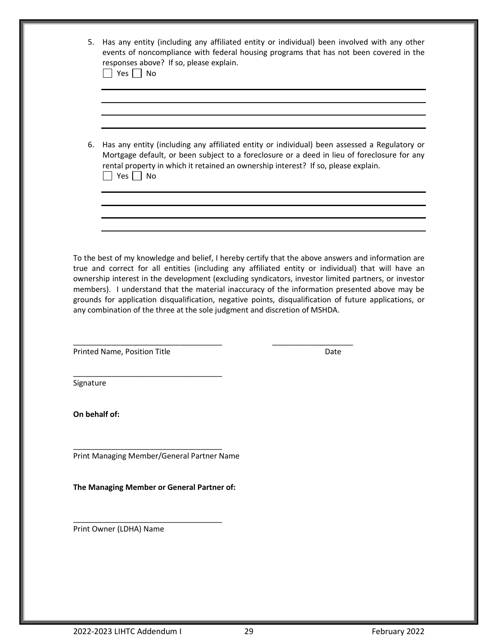| 5.            | Has any entity (including any affiliated entity or individual) been involved with any other<br>events of noncompliance with federal housing programs that has not been covered in the<br>responses above? If so, please explain.<br>$\Box$ Yes $\Box$ No |                                                                                                                                                                                                                                                                                                                                                                                                                                |  |
|---------------|----------------------------------------------------------------------------------------------------------------------------------------------------------------------------------------------------------------------------------------------------------|--------------------------------------------------------------------------------------------------------------------------------------------------------------------------------------------------------------------------------------------------------------------------------------------------------------------------------------------------------------------------------------------------------------------------------|--|
|               |                                                                                                                                                                                                                                                          |                                                                                                                                                                                                                                                                                                                                                                                                                                |  |
| 6.            | $\Box$ Yes $\Box$ No                                                                                                                                                                                                                                     | Has any entity (including any affiliated entity or individual) been assessed a Regulatory or<br>Mortgage default, or been subject to a foreclosure or a deed in lieu of foreclosure for any<br>rental property in which it retained an ownership interest? If so, please explain.                                                                                                                                              |  |
|               |                                                                                                                                                                                                                                                          |                                                                                                                                                                                                                                                                                                                                                                                                                                |  |
|               |                                                                                                                                                                                                                                                          |                                                                                                                                                                                                                                                                                                                                                                                                                                |  |
|               | any combination of the three at the sole judgment and discretion of MSHDA.<br>Printed Name, Position Title                                                                                                                                               | true and correct for all entities (including any affiliated entity or individual) that will have an<br>ownership interest in the development (excluding syndicators, investor limited partners, or investor<br>members). I understand that the material inaccuracy of the information presented above may be<br>grounds for application disqualification, negative points, disqualification of future applications, or<br>Date |  |
|               |                                                                                                                                                                                                                                                          |                                                                                                                                                                                                                                                                                                                                                                                                                                |  |
| Signature     |                                                                                                                                                                                                                                                          |                                                                                                                                                                                                                                                                                                                                                                                                                                |  |
| On behalf of: |                                                                                                                                                                                                                                                          |                                                                                                                                                                                                                                                                                                                                                                                                                                |  |
|               | Print Managing Member/General Partner Name                                                                                                                                                                                                               |                                                                                                                                                                                                                                                                                                                                                                                                                                |  |
|               | The Managing Member or General Partner of:                                                                                                                                                                                                               |                                                                                                                                                                                                                                                                                                                                                                                                                                |  |
|               | Print Owner (LDHA) Name                                                                                                                                                                                                                                  |                                                                                                                                                                                                                                                                                                                                                                                                                                |  |
|               |                                                                                                                                                                                                                                                          |                                                                                                                                                                                                                                                                                                                                                                                                                                |  |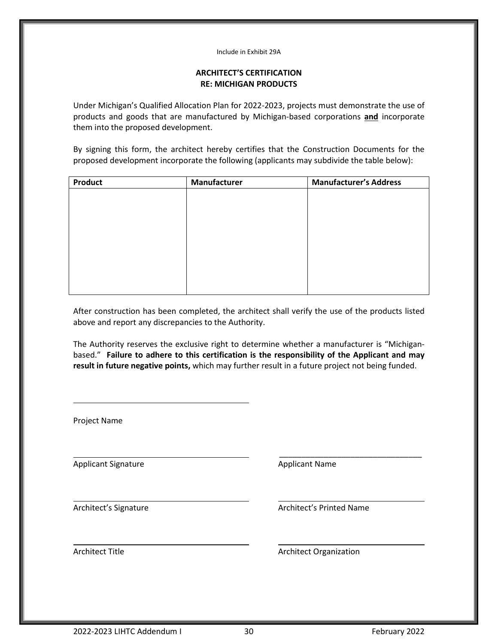#### Include in Exhibit 29A

# **ARCHITECT'S CERTIFICATION RE: MICHIGAN PRODUCTS**

Under Michigan's Qualified Allocation Plan for 2022-2023, projects must demonstrate the use of products and goods that are manufactured by Michigan-based corporations **and** incorporate them into the proposed development.

By signing this form, the architect hereby certifies that the Construction Documents for the proposed development incorporate the following (applicants may subdivide the table below):

| Product | Manufacturer | <b>Manufacturer's Address</b> |
|---------|--------------|-------------------------------|
|         |              |                               |
|         |              |                               |
|         |              |                               |
|         |              |                               |
|         |              |                               |
|         |              |                               |
|         |              |                               |
|         |              |                               |
|         |              |                               |

After construction has been completed, the architect shall verify the use of the products listed above and report any discrepancies to the Authority.

The Authority reserves the exclusive right to determine whether a manufacturer is "Michiganbased." **Failure to adhere to this certification is the responsibility of the Applicant and may result in future negative points,** which may further result in a future project not being funded.

| Project Name               |                               |
|----------------------------|-------------------------------|
| <b>Applicant Signature</b> | <b>Applicant Name</b>         |
| Architect's Signature      | Architect's Printed Name      |
| <b>Architect Title</b>     | <b>Architect Organization</b> |
|                            |                               |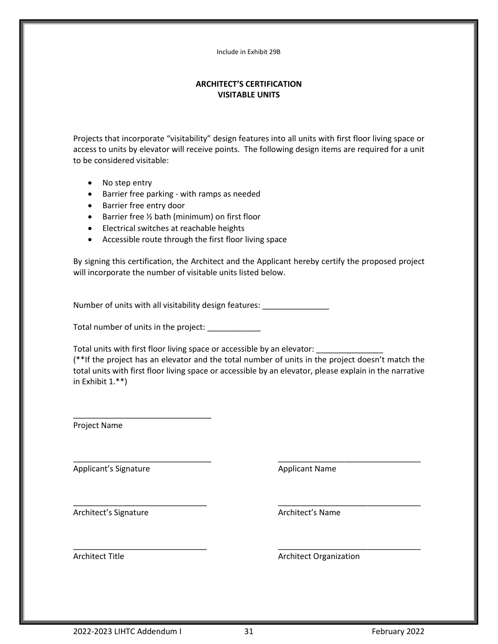Include in Exhibit 29B

# **ARCHITECT'S CERTIFICATION VISITABLE UNITS**

Projects that incorporate "visitability" design features into all units with first floor living space or access to units by elevator will receive points. The following design items are required for a unit to be considered visitable:

- No step entry
- Barrier free parking with ramps as needed
- Barrier free entry door
- Barrier free ½ bath (minimum) on first floor
- Electrical switches at reachable heights
- Accessible route through the first floor living space

By signing this certification, the Architect and the Applicant hereby certify the proposed project will incorporate the number of visitable units listed below.

Number of units with all visitability design features:

Total number of units in the project: \_\_\_\_\_\_\_\_\_\_\_\_

\_\_\_\_\_\_\_\_\_\_\_\_\_\_\_\_\_\_\_\_\_\_\_\_\_\_\_\_\_\_\_

Total units with first floor living space or accessible by an elevator: \_

(\*\*If the project has an elevator and the total number of units in the project doesn't match the total units with first floor living space or accessible by an elevator, please explain in the narrative in Exhibit 1.\*\*)

\_\_\_\_\_\_\_\_\_\_\_\_\_\_\_\_\_\_\_\_\_\_\_\_\_\_\_\_\_\_\_ \_\_\_\_\_\_\_\_\_\_\_\_\_\_\_\_\_\_\_\_\_\_\_\_\_\_\_\_\_\_\_\_

\_\_\_\_\_\_\_\_\_\_\_\_\_\_\_\_\_\_\_\_\_\_\_\_\_\_\_\_\_\_ \_\_\_\_\_\_\_\_\_\_\_\_\_\_\_\_\_\_\_\_\_\_\_\_\_\_\_\_\_\_\_\_

\_\_\_\_\_\_\_\_\_\_\_\_\_\_\_\_\_\_\_\_\_\_\_\_\_\_\_\_\_\_ \_\_\_\_\_\_\_\_\_\_\_\_\_\_\_\_\_\_\_\_\_\_\_\_\_\_\_\_\_\_\_\_

Project Name

Applicant's Signature Applicant Name

Architect's Signature **Architect's Name**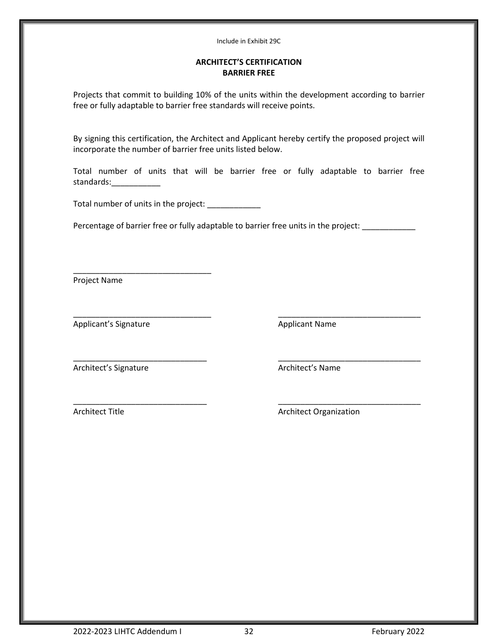#### Include in Exhibit 29C

# **ARCHITECT'S CERTIFICATION BARRIER FREE**

Projects that commit to building 10% of the units within the development according to barrier free or fully adaptable to barrier free standards will receive points.

By signing this certification, the Architect and Applicant hereby certify the proposed project will incorporate the number of barrier free units listed below.

Total number of units that will be barrier free or fully adaptable to barrier free standards:\_\_\_\_\_\_\_\_\_\_\_

Total number of units in the project:

\_\_\_\_\_\_\_\_\_\_\_\_\_\_\_\_\_\_\_\_\_\_\_\_\_\_\_\_\_\_\_

Percentage of barrier free or fully adaptable to barrier free units in the project: \_\_\_\_\_\_\_\_\_\_

\_\_\_\_\_\_\_\_\_\_\_\_\_\_\_\_\_\_\_\_\_\_\_\_\_\_\_\_\_\_ \_\_\_\_\_\_\_\_\_\_\_\_\_\_\_\_\_\_\_\_\_\_\_\_\_\_\_\_\_\_\_\_

Project Name

Applicant's Signature **Applicant Name** 

\_\_\_\_\_\_\_\_\_\_\_\_\_\_\_\_\_\_\_\_\_\_\_\_\_\_\_\_\_\_\_ \_\_\_\_\_\_\_\_\_\_\_\_\_\_\_\_\_\_\_\_\_\_\_\_\_\_\_\_\_\_\_\_

Architect's Signature **Architect's Name** 

\_\_\_\_\_\_\_\_\_\_\_\_\_\_\_\_\_\_\_\_\_\_\_\_\_\_\_\_\_\_ \_\_\_\_\_\_\_\_\_\_\_\_\_\_\_\_\_\_\_\_\_\_\_\_\_\_\_\_\_\_\_\_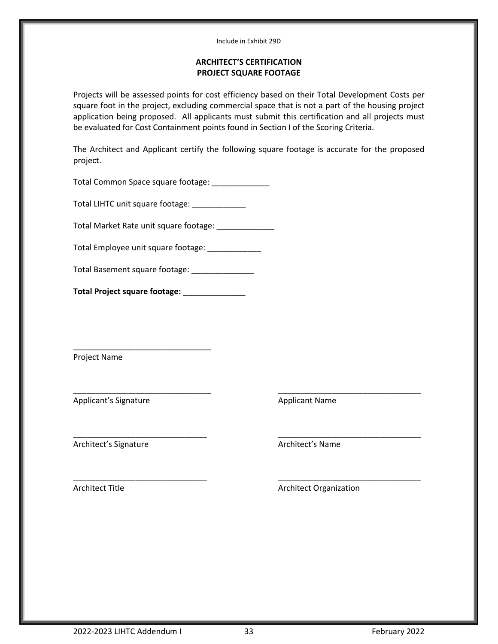#### Include in Exhibit 29D

# **ARCHITECT'S CERTIFICATION PROJECT SQUARE FOOTAGE**

Projects will be assessed points for cost efficiency based on their Total Development Costs per square foot in the project, excluding commercial space that is not a part of the housing project application being proposed. All applicants must submit this certification and all projects must be evaluated for Cost Containment points found in Section I of the Scoring Criteria.

The Architect and Applicant certify the following square footage is accurate for the proposed project.

\_\_\_\_\_\_\_\_\_\_\_\_\_\_\_\_\_\_\_\_\_\_\_\_\_\_\_\_\_\_\_ \_\_\_\_\_\_\_\_\_\_\_\_\_\_\_\_\_\_\_\_\_\_\_\_\_\_\_\_\_\_\_\_

\_\_\_\_\_\_\_\_\_\_\_\_\_\_\_\_\_\_\_\_\_\_\_\_\_\_\_\_\_\_ \_\_\_\_\_\_\_\_\_\_\_\_\_\_\_\_\_\_\_\_\_\_\_\_\_\_\_\_\_\_\_\_

Total Common Space square footage: \_\_\_\_\_\_\_\_\_\_\_\_\_\_

Total LIHTC unit square footage: \_\_\_\_\_\_\_\_\_\_\_\_

Total Market Rate unit square footage: \_\_\_\_\_\_\_\_\_\_\_\_\_\_

Total Employee unit square footage: \_\_\_\_\_\_\_\_\_\_\_\_

Total Basement square footage: \_\_\_\_\_\_\_\_\_\_\_\_\_\_\_

**Total Project square footage:** \_\_\_\_\_\_\_\_\_\_\_\_\_\_

\_\_\_\_\_\_\_\_\_\_\_\_\_\_\_\_\_\_\_\_\_\_\_\_\_\_\_\_\_\_\_

Project Name

Applicant's Signature Applicant Name

Architect's Signature **Architect's Name** 

\_\_\_\_\_\_\_\_\_\_\_\_\_\_\_\_\_\_\_\_\_\_\_\_\_\_\_\_\_\_ \_\_\_\_\_\_\_\_\_\_\_\_\_\_\_\_\_\_\_\_\_\_\_\_\_\_\_\_\_\_\_\_